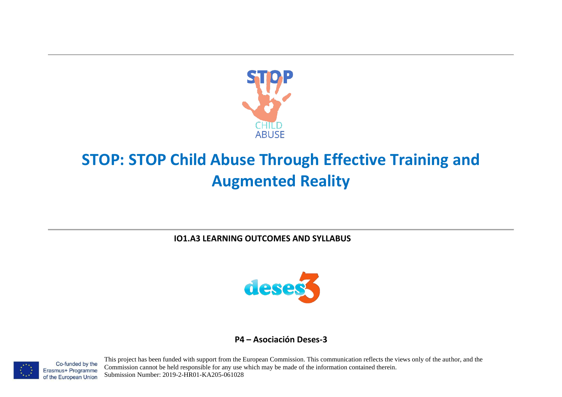

# **STOP: STOP Child Abuse Through Effective Training and Augmented Reality**

**IO1.A3 LEARNING OUTCOMES AND SYLLABUS**



## **P4 – Asociación Deses-3**



Co-funded by the Erasmus+ Programme of the European Union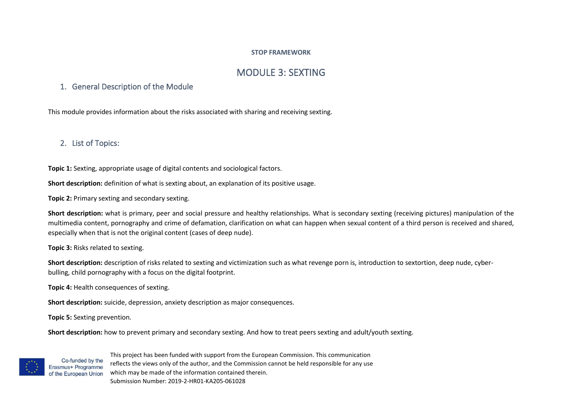#### **STOP FRAMEWORK**

# MODULE 3: SEXTING

### 1. General Description of the Module

This module provides information about the risks associated with sharing and receiving sexting.

# 2. List of Topics:

**Topic 1:** Sexting, appropriate usage of digital contents and sociological factors.

**Short description:** definition of what is sexting about, an explanation of its positive usage.

**Topic 2:** Primary sexting and secondary sexting.

**Short description:** what is primary, peer and social pressure and healthy relationships. What is secondary sexting (receiving pictures) manipulation of the multimedia content, pornography and crime of defamation, clarification on what can happen when sexual content of a third person is received and shared, especially when that is not the original content (cases of deep nude).

**Topic 3:** Risks related to sexting.

**Short description:** description of risks related to sexting and victimization such as what revenge porn is, introduction to sextortion, deep nude, cyberbulling, child pornography with a focus on the digital footprint.

**Topic 4:** Health consequences of sexting.

**Short description:** suicide, depression, anxiety description as major consequences.

**Topic 5:** Sexting prevention.

Co-funded by the

**Short description:** how to prevent primary and secondary sexting. And how to treat peers sexting and adult/youth sexting.

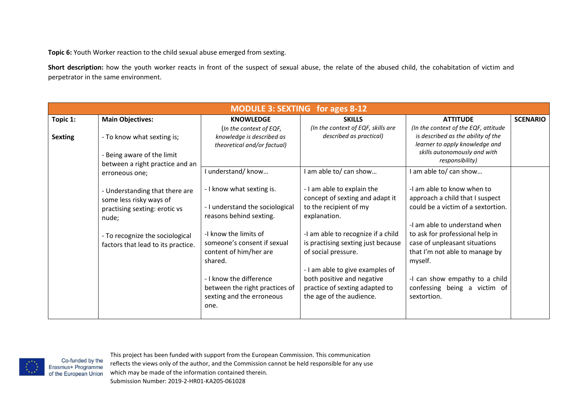**Topic 6:** Youth Worker reaction to the child sexual abuse emerged from sexting.

Short description: how the youth worker reacts in front of the suspect of sexual abuse, the relate of the abused child, the cohabitation of victim and perpetrator in the same environment.

|                | <b>MODULE 3: SEXTING for ages 8-12</b>                                                                                                                                       |                                                                                                                                                                                                                                                                                        |                                                                                                                                                                                                                                                                                                                                           |                                                                                                                                                                                                                                                                                                                                        |                 |  |  |
|----------------|------------------------------------------------------------------------------------------------------------------------------------------------------------------------------|----------------------------------------------------------------------------------------------------------------------------------------------------------------------------------------------------------------------------------------------------------------------------------------|-------------------------------------------------------------------------------------------------------------------------------------------------------------------------------------------------------------------------------------------------------------------------------------------------------------------------------------------|----------------------------------------------------------------------------------------------------------------------------------------------------------------------------------------------------------------------------------------------------------------------------------------------------------------------------------------|-----------------|--|--|
| Topic 1:       | <b>Main Objectives:</b>                                                                                                                                                      | <b>KNOWLEDGE</b>                                                                                                                                                                                                                                                                       | <b>SKILLS</b>                                                                                                                                                                                                                                                                                                                             | <b>ATTITUDE</b>                                                                                                                                                                                                                                                                                                                        | <b>SCENARIO</b> |  |  |
| <b>Sexting</b> | - To know what sexting is;<br>Being aware of the limit<br>between a right practice and an                                                                                    | (In the context of EQF,<br>knowledge is described as<br>theoretical and/or factual)                                                                                                                                                                                                    | (In the context of EQF, skills are<br>described as practical)                                                                                                                                                                                                                                                                             | (In the context of the EQF, attitude<br>is described as the ability of the<br>learner to apply knowledge and<br>skills autonomously and with<br>responsibility)                                                                                                                                                                        |                 |  |  |
|                | erroneous one;                                                                                                                                                               | I understand/know                                                                                                                                                                                                                                                                      | I am able to/ can show                                                                                                                                                                                                                                                                                                                    | I am able to/ can show                                                                                                                                                                                                                                                                                                                 |                 |  |  |
|                | - Understanding that there are<br>some less risky ways of<br>practising sexting: erotic vs<br>nude;<br>- To recognize the sociological<br>factors that lead to its practice. | - I know what sexting is.<br>- I understand the sociological<br>reasons behind sexting.<br>-I know the limits of<br>someone's consent if sexual<br>content of him/her are<br>shared.<br>- I know the difference<br>between the right practices of<br>sexting and the erroneous<br>one. | - I am able to explain the<br>concept of sexting and adapt it<br>to the recipient of my<br>explanation.<br>-I am able to recognize if a child<br>is practising sexting just because<br>of social pressure.<br>- I am able to give examples of<br>both positive and negative<br>practice of sexting adapted to<br>the age of the audience. | -I am able to know when to<br>approach a child that I suspect<br>could be a victim of a sextortion.<br>-I am able to understand when<br>to ask for professional help in<br>case of unpleasant situations<br>that I'm not able to manage by<br>myself.<br>-I can show empathy to a child<br>confessing being a victim of<br>sextortion. |                 |  |  |



Co-funded by the

This project has been funded with support from the European Commission. This communication reflects the views only of the author, and the Commission cannot be held responsible for any use which may be made of the information contained therein.

Submission Number: 2019-2-HR01-KA205-061028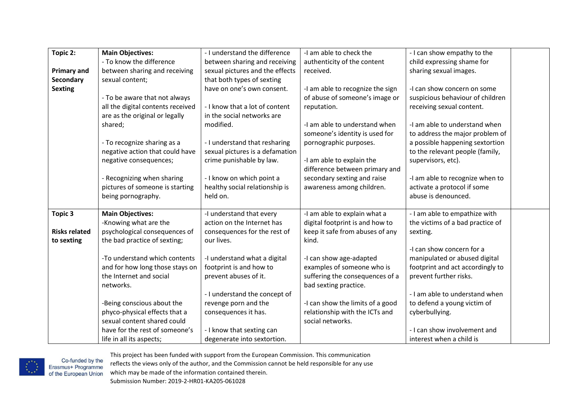| Topic 2:             | <b>Main Objectives:</b>                                     | - I understand the difference                    | -I am able to check the                                            | - I can show empathy to the                                |
|----------------------|-------------------------------------------------------------|--------------------------------------------------|--------------------------------------------------------------------|------------------------------------------------------------|
|                      | - To know the difference                                    | between sharing and receiving                    | authenticity of the content                                        | child expressing shame for                                 |
| <b>Primary and</b>   | between sharing and receiving                               | sexual pictures and the effects                  | received.                                                          | sharing sexual images.                                     |
| Secondary            | sexual content;                                             | that both types of sexting                       |                                                                    |                                                            |
| <b>Sexting</b>       |                                                             | have on one's own consent.                       | -I am able to recognize the sign                                   | -I can show concern on some                                |
|                      | - To be aware that not always                               |                                                  | of abuse of someone's image or                                     | suspicious behaviour of children                           |
|                      | all the digital contents received                           | - I know that a lot of content                   | reputation.                                                        | receiving sexual content.                                  |
|                      | are as the original or legally                              | in the social networks are                       |                                                                    |                                                            |
|                      | shared;                                                     | modified.                                        | -I am able to understand when                                      | -I am able to understand when                              |
|                      |                                                             |                                                  | someone's identity is used for                                     | to address the major problem of                            |
|                      | - To recognize sharing as a                                 | - I understand that resharing                    | pornographic purposes.                                             | a possible happening sextortion                            |
|                      | negative action that could have                             | sexual pictures is a defamation                  |                                                                    | to the relevant people (family,                            |
|                      | negative consequences;                                      | crime punishable by law.                         | -I am able to explain the                                          | supervisors, etc).                                         |
|                      |                                                             |                                                  | difference between primary and                                     |                                                            |
|                      | - Recognizing when sharing                                  | - I know on which point a                        | secondary sexting and raise                                        | -I am able to recognize when to                            |
|                      | pictures of someone is starting                             | healthy social relationship is                   | awareness among children.                                          | activate a protocol if some                                |
|                      | being pornography.                                          | held on.                                         |                                                                    | abuse is denounced.                                        |
|                      |                                                             |                                                  |                                                                    |                                                            |
| Topic 3              | <b>Main Objectives:</b>                                     | -I understand that every                         | -I am able to explain what a                                       | - I am able to empathize with                              |
|                      | -Knowing what are the                                       | action on the Internet has                       | digital footprint is and how to                                    | the victims of a bad practice of                           |
| <b>Risks related</b> | psychological consequences of                               | consequences for the rest of                     | keep it safe from abuses of any                                    | sexting.                                                   |
| to sexting           | the bad practice of sexting;                                | our lives.                                       | kind.                                                              |                                                            |
|                      |                                                             |                                                  |                                                                    | -I can show concern for a                                  |
|                      | -To understand which contents                               | -I understand what a digital                     | -I can show age-adapted                                            | manipulated or abused digital                              |
|                      | and for how long those stays on<br>the Internet and social  | footprint is and how to<br>prevent abuses of it. | examples of someone who is                                         | footprint and act accordingly to<br>prevent further risks. |
|                      |                                                             |                                                  | suffering the consequences of a                                    |                                                            |
|                      | networks.                                                   |                                                  | bad sexting practice.                                              | - I am able to understand when                             |
|                      |                                                             | - I understand the concept of                    |                                                                    |                                                            |
|                      | -Being conscious about the<br>phyco-physical effects that a | revenge porn and the                             | -I can show the limits of a good<br>relationship with the ICTs and | to defend a young victim of<br>cyberbullying.              |
|                      | sexual content shared could                                 | consequences it has.                             | social networks.                                                   |                                                            |
|                      | have for the rest of someone's                              |                                                  |                                                                    | - I can show involvement and                               |
|                      |                                                             | - I know that sexting can                        |                                                                    |                                                            |
|                      | life in all its aspects;                                    | degenerate into sextortion.                      |                                                                    | interest when a child is                                   |



Co-funded by the<br>Erasmus+ Programme<br>of the European Union reflects the views only of the author, and the Commission cannot be held responsible for any use which may be made of the information contained therein. Submission Number: 2019-2-HR01-KA205-061028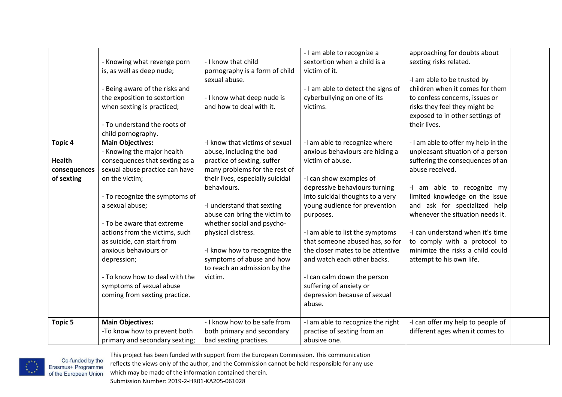| - I am able to recognize a<br>approaching for doubts about<br>sextortion when a child is a<br>- I know that child<br>sexting risks related.<br>- Knowing what revenge porn |
|----------------------------------------------------------------------------------------------------------------------------------------------------------------------------|
|                                                                                                                                                                            |
| is, as well as deep nude;<br>pornography is a form of child<br>victim of it.                                                                                               |
| sexual abuse.<br>-I am able to be trusted by                                                                                                                               |
| - I am able to detect the signs of<br>children when it comes for them<br>Being aware of the risks and                                                                      |
| - I know what deep nude is<br>cyberbullying on one of its<br>to confess concerns, issues or<br>the exposition to sextortion                                                |
| risks they feel they might be<br>when sexting is practiced;<br>and how to deal with it.<br>victims.                                                                        |
| exposed to in other settings of                                                                                                                                            |
| their lives.<br>- To understand the roots of                                                                                                                               |
|                                                                                                                                                                            |
| child pornography.                                                                                                                                                         |
| <b>Topic 4</b><br><b>Main Objectives:</b><br>-I know that victims of sexual<br>-I am able to recognize where<br>- I am able to offer my help in the                        |
| - Knowing the major health<br>unpleasant situation of a person<br>abuse, including the bad<br>anxious behaviours are hiding a                                              |
| consequences that sexting as a<br>victim of abuse.<br>suffering the consequences of an<br><b>Health</b><br>practice of sexting, suffer                                     |
| sexual abuse practice can have<br>many problems for the rest of<br>abuse received.<br>consequences                                                                         |
| of sexting<br>their lives, especially suicidal<br>-I can show examples of<br>on the victim;                                                                                |
| behaviours.<br>depressive behaviours turning<br>-I am able to recognize my                                                                                                 |
| into suicidal thoughts to a very<br>limited knowledge on the issue<br>- To recognize the symptoms of                                                                       |
| and ask for specialized help<br>a sexual abuse;<br>-I understand that sexting<br>young audience for prevention                                                             |
| abuse can bring the victim to<br>whenever the situation needs it.<br>purposes.                                                                                             |
| whether social and psycho-<br>- To be aware that extreme                                                                                                                   |
| actions from the victims, such<br>physical distress.<br>-I am able to list the symptoms<br>-I can understand when it's time                                                |
| as suicide, can start from<br>that someone abused has, so for<br>to comply with a protocol to                                                                              |
| minimize the risks a child could<br>anxious behaviours or<br>-I know how to recognize the<br>the closer mates to be attentive                                              |
| symptoms of abuse and how<br>and watch each other backs.<br>attempt to his own life.<br>depression;                                                                        |
| to reach an admission by the                                                                                                                                               |
| - To know how to deal with the<br>-I can calm down the person<br>victim.                                                                                                   |
| symptoms of sexual abuse<br>suffering of anxiety or                                                                                                                        |
| depression because of sexual<br>coming from sexting practice.                                                                                                              |
| abuse.                                                                                                                                                                     |
|                                                                                                                                                                            |
| <b>Main Objectives:</b><br>- I know how to be safe from<br><b>Topic 5</b><br>-I am able to recognize the right<br>-I can offer my help to people of                        |
| -To know how to prevent both<br>practise of sexting from an<br>different ages when it comes to<br>both primary and secondary                                               |
| primary and secondary sexting;<br>bad sexting practises.<br>abusive one.                                                                                                   |



reflects the views only of the author, and the Commission cannot be held responsible for any use

which may be made of the information contained therein.

Submission Number: 2019-2-HR01-KA205-061028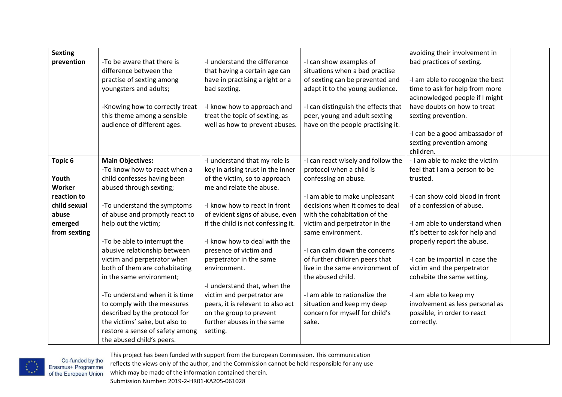| <b>Sexting</b>     |                                 |                                    |                                     | avoiding their involvement in    |  |
|--------------------|---------------------------------|------------------------------------|-------------------------------------|----------------------------------|--|
| prevention         | -To be aware that there is      | -I understand the difference       | -I can show examples of             | bad practices of sexting.        |  |
|                    | difference between the          | that having a certain age can      | situations when a bad practise      |                                  |  |
|                    | practise of sexting among       | have in practising a right or a    | of sexting can be prevented and     | -I am able to recognize the best |  |
|                    | youngsters and adults;          | bad sexting.                       | adapt it to the young audience.     | time to ask for help from more   |  |
|                    |                                 |                                    |                                     | acknowledged people if I might   |  |
|                    | -Knowing how to correctly treat | -I know how to approach and        | -I can distinguish the effects that | have doubts on how to treat      |  |
|                    | this theme among a sensible     | treat the topic of sexting, as     | peer, young and adult sexting       | sexting prevention.              |  |
|                    | audience of different ages.     | well as how to prevent abuses.     | have on the people practising it.   |                                  |  |
|                    |                                 |                                    |                                     | -I can be a good ambassador of   |  |
|                    |                                 |                                    |                                     | sexting prevention among         |  |
|                    |                                 |                                    |                                     | children.                        |  |
| Topic <sub>6</sub> | <b>Main Objectives:</b>         | -I understand that my role is      | -I can react wisely and follow the  | - I am able to make the victim   |  |
|                    | -To know how to react when a    | key in arising trust in the inner  | protocol when a child is            | feel that I am a person to be    |  |
| Youth              | child confesses having been     | of the victim, so to approach      | confessing an abuse.                | trusted.                         |  |
| Worker             | abused through sexting;         | me and relate the abuse.           |                                     |                                  |  |
| reaction to        |                                 |                                    | -I am able to make unpleasant       | -I can show cold blood in front  |  |
| child sexual       | -To understand the symptoms     | -I know how to react in front      | decisions when it comes to deal     | of a confession of abuse.        |  |
| abuse              | of abuse and promptly react to  | of evident signs of abuse, even    | with the cohabitation of the        |                                  |  |
| emerged            | help out the victim;            | if the child is not confessing it. | victim and perpetrator in the       | -I am able to understand when    |  |
| from sexting       |                                 |                                    | same environment.                   | it's better to ask for help and  |  |
|                    | -To be able to interrupt the    | -I know how to deal with the       |                                     | properly report the abuse.       |  |
|                    | abusive relationship between    | presence of victim and             | -I can calm down the concerns       |                                  |  |
|                    | victim and perpetrator when     | perpetrator in the same            | of further children peers that      | -I can be impartial in case the  |  |
|                    | both of them are cohabitating   | environment.                       | live in the same environment of     | victim and the perpetrator       |  |
|                    | in the same environment;        |                                    | the abused child.                   | cohabite the same setting.       |  |
|                    |                                 | -I understand that, when the       |                                     |                                  |  |
|                    | -To understand when it is time  | victim and perpetrator are         | -I am able to rationalize the       | -I am able to keep my            |  |
|                    | to comply with the measures     | peers, it is relevant to also act  | situation and keep my deep          | involvement as less personal as  |  |
|                    | described by the protocol for   | on the group to prevent            | concern for myself for child's      | possible, in order to react      |  |
|                    | the victims' sake, but also to  | further abuses in the same         | sake.                               | correctly.                       |  |
|                    | restore a sense of safety among | setting.                           |                                     |                                  |  |
|                    | the abused child's peers.       |                                    |                                     |                                  |  |

This project has been funded with support from the European Commission. This communication Co-funded by the<br>Erasmus+ Programme<br>of the European Union reflects the views only of the author, and the Commission cannot be held responsible for any use which may be made of the information contained therein. Submission Number: 2019-2-HR01-KA205-061028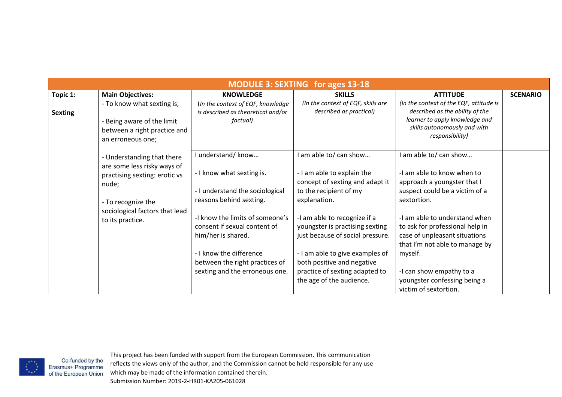|                |                                                                                                                           |                                                                                                                                                                                      | <b>MODULE 3: SEXTING for ages 13-18</b>                                                                                                                                                                                            |                                                                                                                                                                                                                                     |                 |
|----------------|---------------------------------------------------------------------------------------------------------------------------|--------------------------------------------------------------------------------------------------------------------------------------------------------------------------------------|------------------------------------------------------------------------------------------------------------------------------------------------------------------------------------------------------------------------------------|-------------------------------------------------------------------------------------------------------------------------------------------------------------------------------------------------------------------------------------|-----------------|
| Topic 1:       | <b>Main Objectives:</b>                                                                                                   | <b>KNOWLEDGE</b>                                                                                                                                                                     | <b>SKILLS</b>                                                                                                                                                                                                                      | <b>ATTITUDE</b>                                                                                                                                                                                                                     | <b>SCENARIO</b> |
| <b>Sexting</b> | - To know what sexting is;<br>- Being aware of the limit<br>between a right practice and<br>an erroneous one;             | (In the context of EQF, knowledge<br>is described as theoretical and/or<br>factual)                                                                                                  | (In the context of EQF, skills are<br>described as practical)                                                                                                                                                                      | (In the context of the EQF, attitude is<br>described as the ability of the<br>learner to apply knowledge and<br>skills autonomously and with<br>responsibility)                                                                     |                 |
|                | - Understanding that there<br>are some less risky ways of<br>practising sexting: erotic vs<br>nude;<br>- To recognize the | understand/know<br>- I know what sexting is.<br>- I understand the sociological<br>reasons behind sexting.                                                                           | I am able to/ can show<br>- I am able to explain the<br>concept of sexting and adapt it<br>to the recipient of my<br>explanation.                                                                                                  | am able to/ can show<br>-I am able to know when to<br>approach a youngster that I<br>suspect could be a victim of a<br>sextortion.                                                                                                  |                 |
|                | sociological factors that lead<br>to its practice.                                                                        | -I know the limits of someone's<br>consent if sexual content of<br>him/her is shared.<br>- I know the difference<br>between the right practices of<br>sexting and the erroneous one. | -I am able to recognize if a<br>youngster is practising sexting<br>just because of social pressure.<br>- I am able to give examples of<br>both positive and negative<br>practice of sexting adapted to<br>the age of the audience. | -I am able to understand when<br>to ask for professional help in<br>case of unpleasant situations<br>that I'm not able to manage by<br>myself.<br>-I can show empathy to a<br>youngster confessing being a<br>victim of sextortion. |                 |

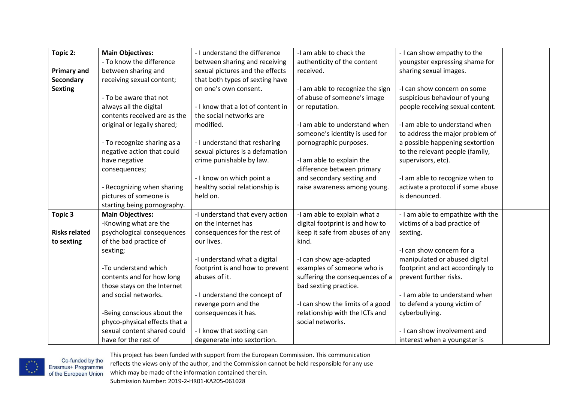| Topic 2:             | <b>Main Objectives:</b>       | - I understand the difference     | -I am able to check the          | - I can show empathy to the       |
|----------------------|-------------------------------|-----------------------------------|----------------------------------|-----------------------------------|
|                      | - To know the difference      | between sharing and receiving     | authenticity of the content      | youngster expressing shame for    |
| <b>Primary and</b>   | between sharing and           | sexual pictures and the effects   | received.                        | sharing sexual images.            |
| Secondary            | receiving sexual content;     | that both types of sexting have   |                                  |                                   |
| <b>Sexting</b>       |                               | on one's own consent.             | -I am able to recognize the sign | -I can show concern on some       |
|                      | - To be aware that not        |                                   | of abuse of someone's image      | suspicious behaviour of young     |
|                      | always all the digital        | - I know that a lot of content in | or reputation.                   | people receiving sexual content.  |
|                      | contents received are as the  | the social networks are           |                                  |                                   |
|                      | original or legally shared;   | modified.                         | -I am able to understand when    | -I am able to understand when     |
|                      |                               |                                   | someone's identity is used for   | to address the major problem of   |
|                      | - To recognize sharing as a   | - I understand that resharing     | pornographic purposes.           | a possible happening sextortion   |
|                      | negative action that could    | sexual pictures is a defamation   |                                  | to the relevant people (family,   |
|                      | have negative                 | crime punishable by law.          | -I am able to explain the        | supervisors, etc).                |
|                      | consequences;                 |                                   | difference between primary       |                                   |
|                      |                               | - I know on which point a         | and secondary sexting and        | -I am able to recognize when to   |
|                      | - Recognizing when sharing    | healthy social relationship is    | raise awareness among young.     | activate a protocol if some abuse |
|                      | pictures of someone is        | held on.                          |                                  | is denounced.                     |
|                      | starting being pornography.   |                                   |                                  |                                   |
| <b>Topic 3</b>       | <b>Main Objectives:</b>       | -I understand that every action   | -I am able to explain what a     | - I am able to empathize with the |
|                      | -Knowing what are the         | on the Internet has               | digital footprint is and how to  | victims of a bad practice of      |
| <b>Risks related</b> | psychological consequences    | consequences for the rest of      | keep it safe from abuses of any  | sexting.                          |
| to sexting           | of the bad practice of        | our lives.                        | kind.                            |                                   |
|                      | sexting;                      |                                   |                                  | -I can show concern for a         |
|                      |                               | -I understand what a digital      | -I can show age-adapted          | manipulated or abused digital     |
|                      | -To understand which          | footprint is and how to prevent   | examples of someone who is       | footprint and act accordingly to  |
|                      | contents and for how long     | abuses of it.                     | suffering the consequences of a  | prevent further risks.            |
|                      | those stays on the Internet   |                                   | bad sexting practice.            |                                   |
|                      | and social networks.          | - I understand the concept of     |                                  | - I am able to understand when    |
|                      |                               | revenge porn and the              | -I can show the limits of a good | to defend a young victim of       |
|                      | -Being conscious about the    | consequences it has.              | relationship with the ICTs and   | cyberbullying.                    |
|                      | phyco-physical effects that a |                                   | social networks.                 |                                   |
|                      | sexual content shared could   | - I know that sexting can         |                                  | - I can show involvement and      |
|                      | have for the rest of          | degenerate into sextortion.       |                                  | interest when a youngster is      |



Co-funded by the<br>Erasmus+ Programme<br>of the European Union reflects the views only of the author, and the Commission cannot be held responsible for any use which may be made of the information contained therein. Submission Number: 2019-2-HR01-KA205-061028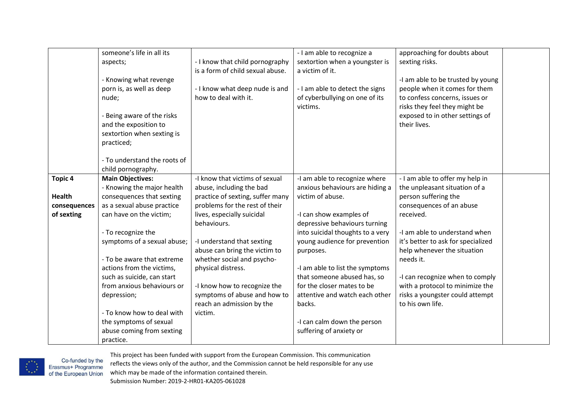|                               | someone's life in all its<br>aspects;<br>- Knowing what revenge<br>porn is, as well as deep<br>nude;                            | - I know that child pornography<br>is a form of child sexual abuse.<br>- I know what deep nude is and<br>how to deal with it. | - I am able to recognize a<br>sextortion when a youngster is<br>a victim of it.<br>- I am able to detect the signs<br>of cyberbullying on one of its<br>victims. | approaching for doubts about<br>sexting risks.<br>-I am able to be trusted by young<br>people when it comes for them<br>to confess concerns, issues or<br>risks they feel they might be |  |
|-------------------------------|---------------------------------------------------------------------------------------------------------------------------------|-------------------------------------------------------------------------------------------------------------------------------|------------------------------------------------------------------------------------------------------------------------------------------------------------------|-----------------------------------------------------------------------------------------------------------------------------------------------------------------------------------------|--|
|                               | - Being aware of the risks<br>and the exposition to<br>sextortion when sexting is<br>practiced;<br>- To understand the roots of |                                                                                                                               |                                                                                                                                                                  | exposed to in other settings of<br>their lives.                                                                                                                                         |  |
|                               | child pornography.                                                                                                              |                                                                                                                               |                                                                                                                                                                  |                                                                                                                                                                                         |  |
| <b>Topic 4</b>                | <b>Main Objectives:</b><br>- Knowing the major health                                                                           | -I know that victims of sexual<br>abuse, including the bad                                                                    | -I am able to recognize where<br>anxious behaviours are hiding a                                                                                                 | - I am able to offer my help in<br>the unpleasant situation of a                                                                                                                        |  |
| <b>Health</b><br>consequences | consequences that sexting<br>as a sexual abuse practice                                                                         | practice of sexting, suffer many<br>problems for the rest of their                                                            | victim of abuse.                                                                                                                                                 | person suffering the<br>consequences of an abuse                                                                                                                                        |  |
| of sexting                    | can have on the victim;                                                                                                         | lives, especially suicidal<br>behaviours.                                                                                     | -I can show examples of<br>depressive behaviours turning                                                                                                         | received.                                                                                                                                                                               |  |
|                               | - To recognize the                                                                                                              |                                                                                                                               | into suicidal thoughts to a very                                                                                                                                 | -I am able to understand when                                                                                                                                                           |  |
|                               | symptoms of a sexual abuse;                                                                                                     | -I understand that sexting<br>abuse can bring the victim to                                                                   | young audience for prevention<br>purposes.                                                                                                                       | it's better to ask for specialized<br>help whenever the situation                                                                                                                       |  |
|                               | - To be aware that extreme                                                                                                      | whether social and psycho-                                                                                                    |                                                                                                                                                                  | needs it.                                                                                                                                                                               |  |
|                               | actions from the victims,                                                                                                       | physical distress.                                                                                                            | -I am able to list the symptoms                                                                                                                                  |                                                                                                                                                                                         |  |
|                               | such as suicide, can start                                                                                                      |                                                                                                                               | that someone abused has, so                                                                                                                                      | -I can recognize when to comply                                                                                                                                                         |  |
|                               | from anxious behaviours or<br>depression;                                                                                       | -I know how to recognize the<br>symptoms of abuse and how to                                                                  | for the closer mates to be<br>attentive and watch each other                                                                                                     | with a protocol to minimize the<br>risks a youngster could attempt                                                                                                                      |  |
|                               |                                                                                                                                 | reach an admission by the                                                                                                     | backs.                                                                                                                                                           | to his own life.                                                                                                                                                                        |  |
|                               | - To know how to deal with                                                                                                      | victim.                                                                                                                       |                                                                                                                                                                  |                                                                                                                                                                                         |  |
|                               | the symptoms of sexual                                                                                                          |                                                                                                                               | -I can calm down the person                                                                                                                                      |                                                                                                                                                                                         |  |
|                               | abuse coming from sexting                                                                                                       |                                                                                                                               | suffering of anxiety or                                                                                                                                          |                                                                                                                                                                                         |  |
|                               | practice.                                                                                                                       |                                                                                                                               |                                                                                                                                                                  |                                                                                                                                                                                         |  |



This project has been funded with support from the European Commission. This communication Co-funded by the<br>Erasmus+ Programme<br>of the European Union reflects the views only of the author, and the Commission cannot be held responsible for any use which may be made of the information contained therein. Submission Number: 2019-2-HR01-KA205-061028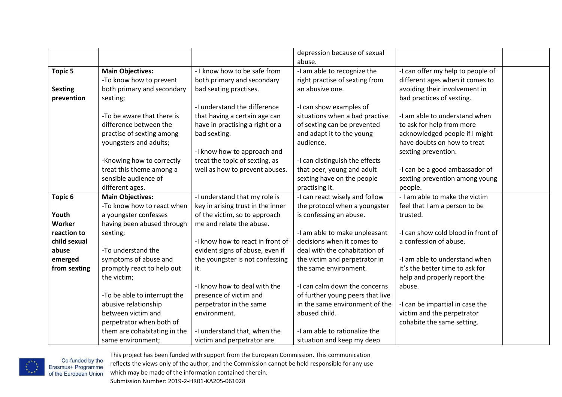|                |                              |                                   | depression because of sexual     |                                    |  |
|----------------|------------------------------|-----------------------------------|----------------------------------|------------------------------------|--|
|                |                              |                                   | abuse.                           |                                    |  |
| <b>Topic 5</b> | <b>Main Objectives:</b>      | - I know how to be safe from      | -I am able to recognize the      | -I can offer my help to people of  |  |
|                | -To know how to prevent      | both primary and secondary        | right practise of sexting from   | different ages when it comes to    |  |
| <b>Sexting</b> | both primary and secondary   | bad sexting practises.            | an abusive one.                  | avoiding their involvement in      |  |
| prevention     | sexting;                     |                                   |                                  | bad practices of sexting.          |  |
|                |                              | -I understand the difference      | -I can show examples of          |                                    |  |
|                | -To be aware that there is   | that having a certain age can     | situations when a bad practise   | -I am able to understand when      |  |
|                | difference between the       | have in practising a right or a   | of sexting can be prevented      | to ask for help from more          |  |
|                | practise of sexting among    | bad sexting.                      | and adapt it to the young        | acknowledged people if I might     |  |
|                | youngsters and adults;       |                                   | audience.                        | have doubts on how to treat        |  |
|                |                              | -I know how to approach and       |                                  | sexting prevention.                |  |
|                | -Knowing how to correctly    | treat the topic of sexting, as    | -I can distinguish the effects   |                                    |  |
|                | treat this theme among a     | well as how to prevent abuses.    | that peer, young and adult       | -I can be a good ambassador of     |  |
|                | sensible audience of         |                                   | sexting have on the people       | sexting prevention among young     |  |
|                | different ages.              |                                   | practising it.                   | people.                            |  |
| Topic 6        | <b>Main Objectives:</b>      | -I understand that my role is     | -I can react wisely and follow   | - I am able to make the victim     |  |
|                | -To know how to react when   | key in arising trust in the inner | the protocol when a youngster    | feel that I am a person to be      |  |
| Youth          | a youngster confesses        | of the victim, so to approach     | is confessing an abuse.          | trusted.                           |  |
| Worker         | having been abused through   | me and relate the abuse.          |                                  |                                    |  |
| reaction to    | sexting;                     |                                   | -I am able to make unpleasant    | -I can show cold blood in front of |  |
| child sexual   |                              | -I know how to react in front of  | decisions when it comes to       | a confession of abuse.             |  |
| abuse          | -To understand the           | evident signs of abuse, even if   | deal with the cohabitation of    |                                    |  |
| emerged        | symptoms of abuse and        | the youngster is not confessing   | the victim and perpetrator in    | -I am able to understand when      |  |
| from sexting   | promptly react to help out   | it.                               | the same environment.            | it's the better time to ask for    |  |
|                | the victim;                  |                                   |                                  | help and properly report the       |  |
|                |                              | -I know how to deal with the      | -I can calm down the concerns    | abuse.                             |  |
|                | -To be able to interrupt the | presence of victim and            | of further young peers that live |                                    |  |
|                | abusive relationship         | perpetrator in the same           | in the same environment of the   | -I can be impartial in case the    |  |
|                | between victim and           | environment.                      | abused child.                    | victim and the perpetrator         |  |
|                | perpetrator when both of     |                                   |                                  | cohabite the same setting.         |  |
|                | them are cohabitating in the | -I understand that, when the      | -I am able to rationalize the    |                                    |  |
|                | same environment;            | victim and perpetrator are        | situation and keep my deep       |                                    |  |



Co-funded by the<br>Erasmus+ Programme<br>of the European Union reflects the views only of the author, and the Commission cannot be held responsible for any use which may be made of the information contained therein. Submission Number: 2019-2-HR01-KA205-061028